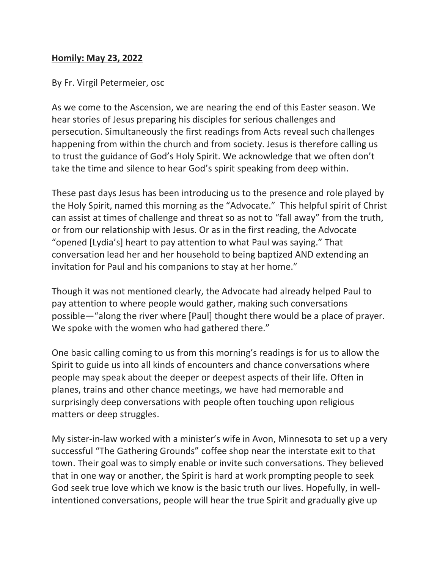## **Homily: May 23, 2022**

By Fr. Virgil Petermeier, osc

As we come to the Ascension, we are nearing the end of this Easter season. We hear stories of Jesus preparing his disciples for serious challenges and persecution. Simultaneously the first readings from Acts reveal such challenges happening from within the church and from society. Jesus is therefore calling us to trust the guidance of God's Holy Spirit. We acknowledge that we often don't take the time and silence to hear God's spirit speaking from deep within.

These past days Jesus has been introducing us to the presence and role played by the Holy Spirit, named this morning as the "Advocate." This helpful spirit of Christ can assist at times of challenge and threat so as not to "fall away" from the truth, or from our relationship with Jesus. Or as in the first reading, the Advocate "opened [Lydia's] heart to pay attention to what Paul was saying." That conversation lead her and her household to being baptized AND extending an invitation for Paul and his companions to stay at her home."

Though it was not mentioned clearly, the Advocate had already helped Paul to pay attention to where people would gather, making such conversations possible—"along the river where [Paul] thought there would be a place of prayer. We spoke with the women who had gathered there."

One basic calling coming to us from this morning's readings is for us to allow the Spirit to guide us into all kinds of encounters and chance conversations where people may speak about the deeper or deepest aspects of their life. Often in planes, trains and other chance meetings, we have had memorable and surprisingly deep conversations with people often touching upon religious matters or deep struggles.

My sister-in-law worked with a minister's wife in Avon, Minnesota to set up a very successful "The Gathering Grounds" coffee shop near the interstate exit to that town. Their goal was to simply enable or invite such conversations. They believed that in one way or another, the Spirit is hard at work prompting people to seek God seek true love which we know is the basic truth our lives. Hopefully, in wellintentioned conversations, people will hear the true Spirit and gradually give up